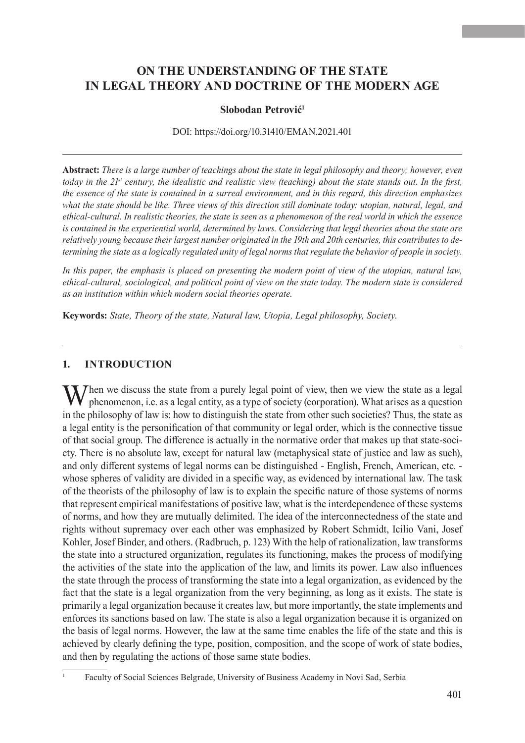# **ON THE UNDERSTANDING OF THE STATE IN LEGAL THEORY AND DOCTRINE OF THE MODERN AGE**

#### **Slobodan Petrović<sup>1</sup>**

DOI: https://doi.org/10.31410/EMAN.2021.401

**Abstract:** *There is a large number of teachings about the state in legal philosophy and theory; however, even today in the 21st century, the idealistic and realistic view (teaching) about the state stands out. In the first, the essence of the state is contained in a surreal environment, and in this regard, this direction emphasizes what the state should be like. Three views of this direction still dominate today: utopian, natural, legal, and ethical-cultural. In realistic theories, the state is seen as a phenomenon of the real world in which the essence is contained in the experiential world, determined by laws. Considering that legal theories about the state are relatively young because their largest number originated in the 19th and 20th centuries, this contributes to determining the state as a logically regulated unity of legal norms that regulate the behavior of people in society.*

*In this paper, the emphasis is placed on presenting the modern point of view of the utopian, natural law, ethical-cultural, sociological, and political point of view on the state today. The modern state is considered as an institution within which modern social theories operate.*

**Keywords:** *State, Theory of the state, Natural law, Utopia, Legal philosophy, Society.*

#### **1. INTRODUCTION**

 $\sum$  hen we discuss the state from a purely legal point of view, then we view the state as a legal phenomenon, i.e. as a legal entity, as a type of society (corporation). What arises as a question in the philosophy of law is: how to distinguish the state from other such societies? Thus, the state as a legal entity is the personification of that community or legal order, which is the connective tissue of that social group. The difference is actually in the normative order that makes up that state-society. There is no absolute law, except for natural law (metaphysical state of justice and law as such), and only different systems of legal norms can be distinguished - English, French, American, etc. whose spheres of validity are divided in a specific way, as evidenced by international law. The task of the theorists of the philosophy of law is to explain the specific nature of those systems of norms that represent empirical manifestations of positive law, what is the interdependence of these systems of norms, and how they are mutually delimited. The idea of the interconnectedness of the state and rights without supremacy over each other was emphasized by Robert Schmidt, Icilio Vani, Josef Kohler, Josef Binder, and others. (Radbruch, p. 123) With the help of rationalization, law transforms the state into a structured organization, regulates its functioning, makes the process of modifying the activities of the state into the application of the law, and limits its power. Law also influences the state through the process of transforming the state into a legal organization, as evidenced by the fact that the state is a legal organization from the very beginning, as long as it exists. The state is primarily a legal organization because it creates law, but more importantly, the state implements and enforces its sanctions based on law. The state is also a legal organization because it is organized on the basis of legal norms. However, the law at the same time enables the life of the state and this is achieved by clearly defining the type, position, composition, and the scope of work of state bodies, and then by regulating the actions of those same state bodies.

<sup>1</sup> Faculty of Social Sciences Belgrade, University of Business Academy in Novi Sad, Serbia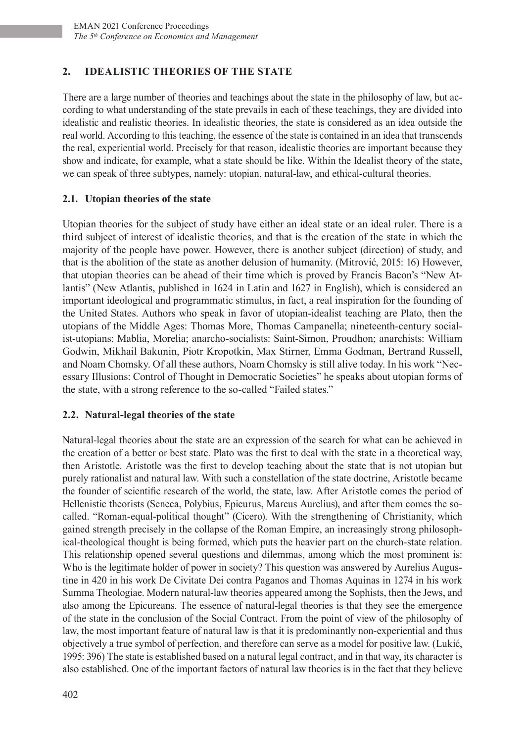## **2. IDEALISTIC THEORIES OF THE STATE**

There are a large number of theories and teachings about the state in the philosophy of law, but according to what understanding of the state prevails in each of these teachings, they are divided into idealistic and realistic theories. In idealistic theories, the state is considered as an idea outside the real world. According to this teaching, the essence of the state is contained in an idea that transcends the real, experiential world. Precisely for that reason, idealistic theories are important because they show and indicate, for example, what a state should be like. Within the Idealist theory of the state, we can speak of three subtypes, namely: utopian, natural-law, and ethical-cultural theories.

### **2.1. Utopian theories of the state**

Utopian theories for the subject of study have either an ideal state or an ideal ruler. There is a third subject of interest of idealistic theories, and that is the creation of the state in which the majority of the people have power. However, there is another subject (direction) of study, and that is the abolition of the state as another delusion of humanity. (Mitrović, 2015: 16) However, that utopian theories can be ahead of their time which is proved by Francis Bacon's "New Atlantis" (New Atlantis, published in 1624 in Latin and 1627 in English), which is considered an important ideological and programmatic stimulus, in fact, a real inspiration for the founding of the United States. Authors who speak in favor of utopian-idealist teaching are Plato, then the utopians of the Middle Ages: Thomas More, Thomas Campanella; nineteenth-century socialist-utopians: Mablia, Morelia; anarcho-socialists: Saint-Simon, Proudhon; anarchists: William Godwin, Mikhail Bakunin, Piotr Kropotkin, Max Stirner, Emma Godman, Bertrand Russell, and Noam Chomsky. Of all these authors, Noam Chomsky is still alive today. In his work "Necessary Illusions: Control of Thought in Democratic Societies" he speaks about utopian forms of the state, with a strong reference to the so-called "Failed states."

## **2.2. Natural-legal theories of the state**

Natural-legal theories about the state are an expression of the search for what can be achieved in the creation of a better or best state. Plato was the first to deal with the state in a theoretical way, then Aristotle. Aristotle was the first to develop teaching about the state that is not utopian but purely rationalist and natural law. With such a constellation of the state doctrine, Aristotle became the founder of scientific research of the world, the state, law. After Aristotle comes the period of Hellenistic theorists (Seneca, Polybius, Epicurus, Marcus Aurelius), and after them comes the socalled. "Roman-equal-political thought" (Cicero). With the strengthening of Christianity, which gained strength precisely in the collapse of the Roman Empire, an increasingly strong philosophical-theological thought is being formed, which puts the heavier part on the church-state relation. This relationship opened several questions and dilemmas, among which the most prominent is: Who is the legitimate holder of power in society? This question was answered by Aurelius Augustine in 420 in his work De Civitate Dei contra Paganos and Thomas Aquinas in 1274 in his work Summa Theologiae. Modern natural-law theories appeared among the Sophists, then the Jews, and also among the Epicureans. The essence of natural-legal theories is that they see the emergence of the state in the conclusion of the Social Contract. From the point of view of the philosophy of law, the most important feature of natural law is that it is predominantly non-experiential and thus objectively a true symbol of perfection, and therefore can serve as a model for positive law. (Lukić, 1995: 396) The state is established based on a natural legal contract, and in that way, its character is also established. One of the important factors of natural law theories is in the fact that they believe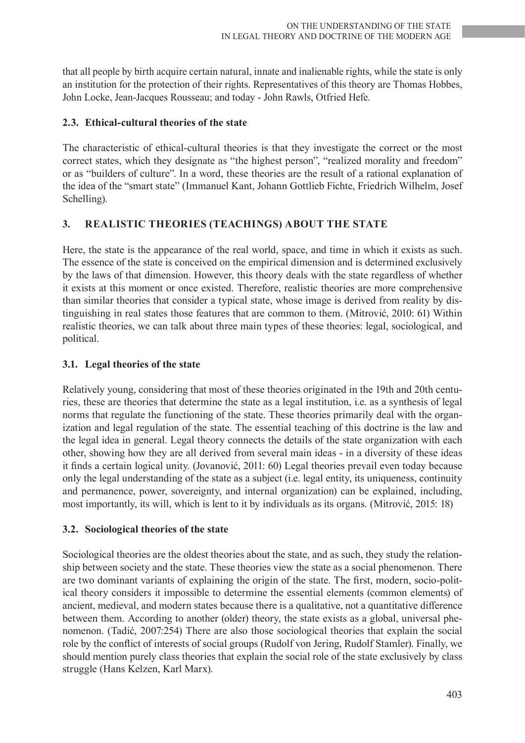that all people by birth acquire certain natural, innate and inalienable rights, while the state is only an institution for the protection of their rights. Representatives of this theory are Thomas Hobbes, John Locke, Jean-Jacques Rousseau; and today - John Rawls, Otfried Hefe.

## **2.3. Ethical-cultural theories of the state**

The characteristic of ethical-cultural theories is that they investigate the correct or the most correct states, which they designate as "the highest person", "realized morality and freedom" or as "builders of culture". In a word, these theories are the result of a rational explanation of the idea of the "smart state" (Immanuel Kant, Johann Gottlieb Fichte, Friedrich Wilhelm, Josef Schelling).

## **3. REALISTIC THEORIES (TEACHINGS) ABOUT THE STATE**

Here, the state is the appearance of the real world, space, and time in which it exists as such. The essence of the state is conceived on the empirical dimension and is determined exclusively by the laws of that dimension. However, this theory deals with the state regardless of whether it exists at this moment or once existed. Therefore, realistic theories are more comprehensive than similar theories that consider a typical state, whose image is derived from reality by distinguishing in real states those features that are common to them. (Mitrović, 2010: 61) Within realistic theories, we can talk about three main types of these theories: legal, sociological, and political.

## **3.1. Legal theories of the state**

Relatively young, considering that most of these theories originated in the 19th and 20th centuries, these are theories that determine the state as a legal institution, i.e. as a synthesis of legal norms that regulate the functioning of the state. These theories primarily deal with the organization and legal regulation of the state. The essential teaching of this doctrine is the law and the legal idea in general. Legal theory connects the details of the state organization with each other, showing how they are all derived from several main ideas - in a diversity of these ideas it finds a certain logical unity. (Jovanović, 2011: 60) Legal theories prevail even today because only the legal understanding of the state as a subject (i.e. legal entity, its uniqueness, continuity and permanence, power, sovereignty, and internal organization) can be explained, including, most importantly, its will, which is lent to it by individuals as its organs. (Mitrović, 2015: 18)

## **3.2. Sociological theories of the state**

Sociological theories are the oldest theories about the state, and as such, they study the relationship between society and the state. These theories view the state as a social phenomenon. There are two dominant variants of explaining the origin of the state. The first, modern, socio-political theory considers it impossible to determine the essential elements (common elements) of ancient, medieval, and modern states because there is a qualitative, not a quantitative difference between them. According to another (older) theory, the state exists as a global, universal phenomenon. (Tadić, 2007:254) There are also those sociological theories that explain the social role by the conflict of interests of social groups (Rudolf von Jering, Rudolf Stamler). Finally, we should mention purely class theories that explain the social role of the state exclusively by class struggle (Hans Kelzen, Karl Marx).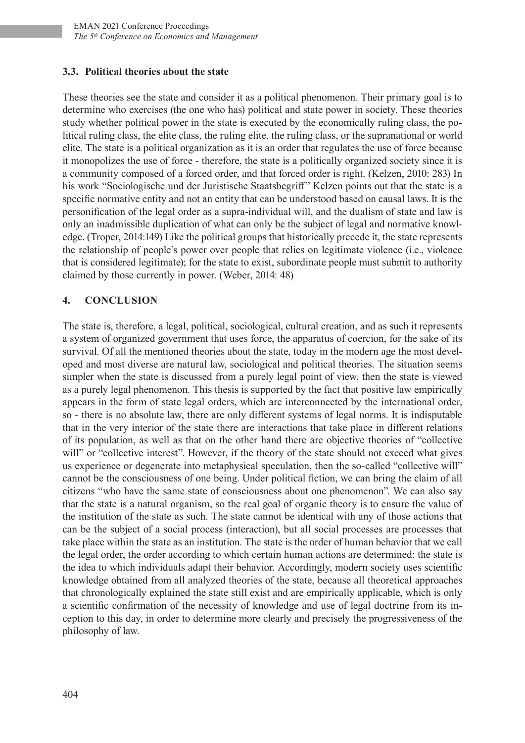### **3.3. Political theories about the state**

These theories see the state and consider it as a political phenomenon. Their primary goal is to determine who exercises (the one who has) political and state power in society. These theories study whether political power in the state is executed by the economically ruling class, the political ruling class, the elite class, the ruling elite, the ruling class, or the supranational or world elite. The state is a political organization as it is an order that regulates the use of force because it monopolizes the use of force - therefore, the state is a politically organized society since it is a community composed of a forced order, and that forced order is right. (Kelzen, 2010: 283) In his work "Sociologische und der Juristische Staatsbegriff" Kelzen points out that the state is a specific normative entity and not an entity that can be understood based on causal laws. It is the personification of the legal order as a supra-individual will, and the dualism of state and law is only an inadmissible duplication of what can only be the subject of legal and normative knowledge. (Troper, 2014:149) Like the political groups that historically precede it, the state represents the relationship of people's power over people that relies on legitimate violence (i.e., violence that is considered legitimate); for the state to exist, subordinate people must submit to authority claimed by those currently in power. (Weber, 2014: 48)

## **4. CONCLUSION**

The state is, therefore, a legal, political, sociological, cultural creation, and as such it represents a system of organized government that uses force, the apparatus of coercion, for the sake of its survival. Of all the mentioned theories about the state, today in the modern age the most developed and most diverse are natural law, sociological and political theories. The situation seems simpler when the state is discussed from a purely legal point of view, then the state is viewed as a purely legal phenomenon. This thesis is supported by the fact that positive law empirically appears in the form of state legal orders, which are interconnected by the international order, so - there is no absolute law, there are only different systems of legal norms. It is indisputable that in the very interior of the state there are interactions that take place in different relations of its population, as well as that on the other hand there are objective theories of "collective will" or "collective interest". However, if the theory of the state should not exceed what gives us experience or degenerate into metaphysical speculation, then the so-called "collective will" cannot be the consciousness of one being. Under political fiction, we can bring the claim of all citizens "who have the same state of consciousness about one phenomenon". We can also say that the state is a natural organism, so the real goal of organic theory is to ensure the value of the institution of the state as such. The state cannot be identical with any of those actions that can be the subject of a social process (interaction), but all social processes are processes that take place within the state as an institution. The state is the order of human behavior that we call the legal order, the order according to which certain human actions are determined; the state is the idea to which individuals adapt their behavior. Accordingly, modern society uses scientific knowledge obtained from all analyzed theories of the state, because all theoretical approaches that chronologically explained the state still exist and are empirically applicable, which is only a scientific confirmation of the necessity of knowledge and use of legal doctrine from its inception to this day, in order to determine more clearly and precisely the progressiveness of the philosophy of law.